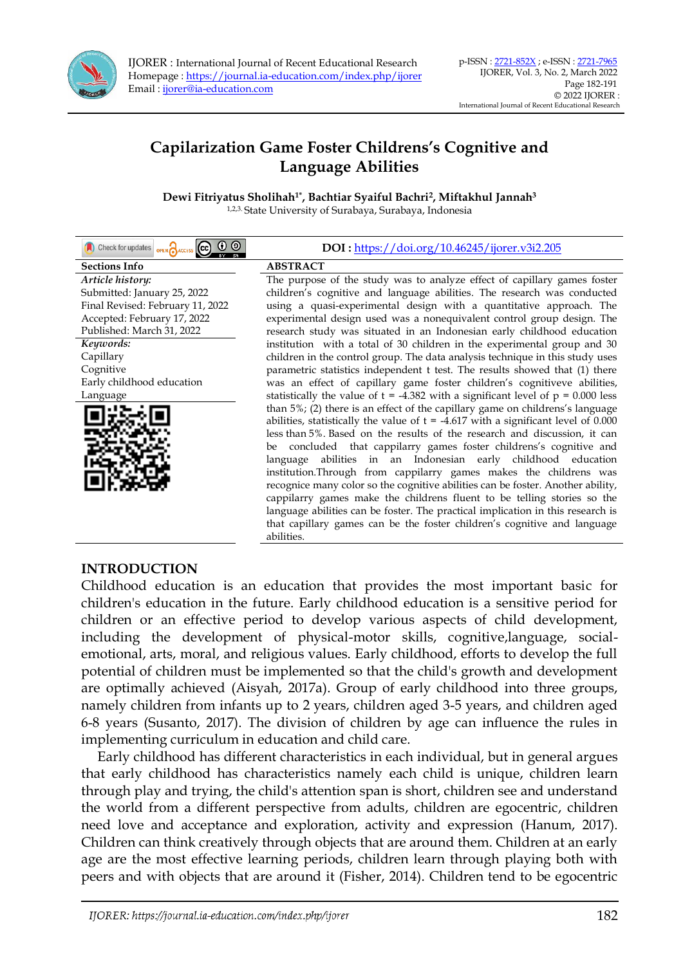

IJORER : International Journal of Recent Educational Research Homepage [: https://journal.ia-education.com/index.php/ijorer](https://journal.ia-education.com/index.php/ijorer) Email [: ijorer@ia-education.com](file:///C:/Users/Tatangm/Downloads/ijorer@ia-education.com)

# **Capilarization Game Foster Childrens's Cognitive and Language Abilities**

**Dewi Fitriyatus Sholihah1\* , Bachtiar Syaiful Bachri<sup>2</sup> , Miftakhul Jannah<sup>3</sup>**

1,2,3. State University of Surabaya, Surabaya, Indonesia

| Check for updates oPEN CRACCESS CCO O O | DOI: https://doi.org/10.46245/ijorer.v3i2.205                                        |
|-----------------------------------------|--------------------------------------------------------------------------------------|
| <b>Sections Info</b>                    | <b>ABSTRACT</b>                                                                      |
| Article history:                        | The purpose of the study was to analyze effect of capillary games foster             |
| Submitted: January 25, 2022             | children's cognitive and language abilities. The research was conducted              |
| Final Revised: February 11, 2022        | using a quasi-experimental design with a quantitative approach. The                  |
| Accepted: February 17, 2022             | experimental design used was a nonequivalent control group design. The               |
| Published: March 31, 2022               | research study was situated in an Indonesian early childhood education               |
| Keywords:                               | institution with a total of 30 children in the experimental group and 30             |
| Capillary                               | children in the control group. The data analysis technique in this study uses        |
| Cognitive                               | parametric statistics independent t test. The results showed that (1) there          |
| Early childhood education               | was an effect of capillary game foster children's cognitiveve abilities,             |
| Language                                | statistically the value of $t = -4.382$ with a significant level of $p = 0.000$ less |
|                                         | than 5%; (2) there is an effect of the capillary game on childrens's language        |
|                                         | abilities, statistically the value of $t = -4.617$ with a significant level of 0.000 |
|                                         | less than 5%. Based on the results of the research and discussion, it can            |
|                                         | be concluded that cappilarry games foster childrens's cognitive and                  |
|                                         | abilities in an Indonesian early childhood education<br>language                     |
|                                         | institution. Through from cappilarry games makes the childrens was                   |
|                                         | recognice many color so the cognitive abilities can be foster. Another ability,      |
|                                         | cappilarry games make the childrens fluent to be telling stories so the              |
|                                         | language abilities can be foster. The practical implication in this research is      |
|                                         | that capillary games can be the foster children's cognitive and language             |
|                                         | abilities.                                                                           |

## **INTRODUCTION**

Childhood education is an education that provides the most important basic for children's education in the future. Early childhood education is a sensitive period for children or an effective period to develop various aspects of child development, including the development of physical-motor skills, cognitive,language, socialemotional, arts, moral, and religious values. Early childhood, efforts to develop the full potential of children must be implemented so that the child's growth and development are optimally achieved (Aisyah, 2017a). Group of early childhood into three groups, namely children from infants up to 2 years, children aged 3-5 years, and children aged 6-8 years (Susanto, 2017). The division of children by age can influence the rules in implementing curriculum in education and child care.

Early childhood has different characteristics in each individual, but in general argues that early childhood has characteristics namely each child is unique, children learn through play and trying, the child's attention span is short, children see and understand the world from a different perspective from adults, children are egocentric, children need love and acceptance and exploration, activity and expression (Hanum, 2017). Children can think creatively through objects that are around them. Children at an early age are the most effective learning periods, children learn through playing both with peers and with objects that are around it (Fisher, 2014). Children tend to be egocentric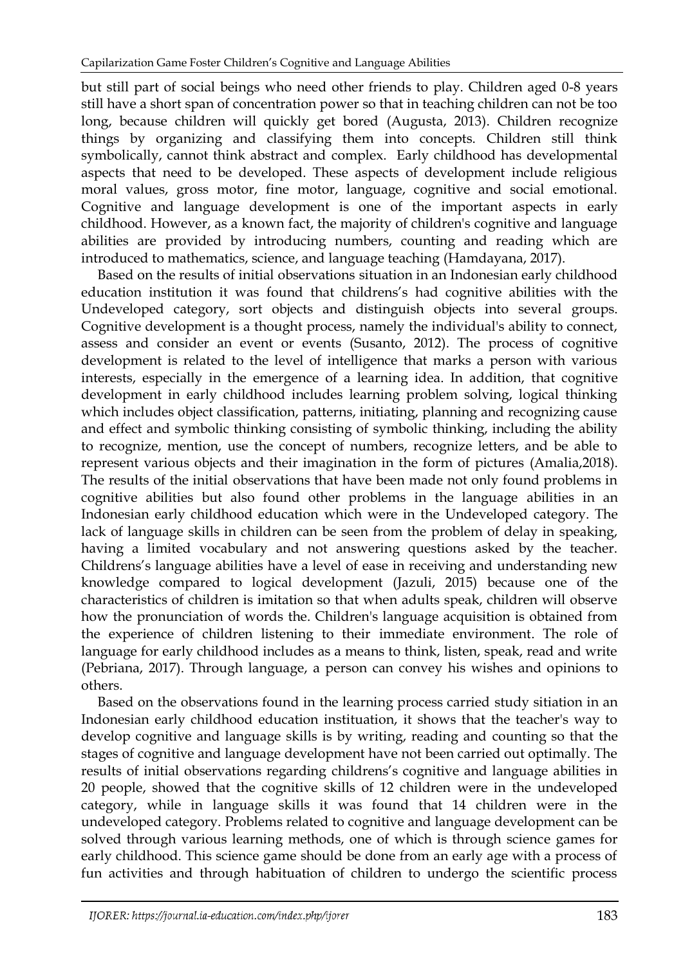but still part of social beings who need other friends to play. Children aged 0-8 years still have a short span of concentration power so that in teaching children can not be too long, because children will quickly get bored (Augusta, 2013). Children recognize things by organizing and classifying them into concepts. Children still think symbolically, cannot think abstract and complex. Early childhood has developmental aspects that need to be developed. These aspects of development include religious moral values, gross motor, fine motor, language, cognitive and social emotional. Cognitive and language development is one of the important aspects in early childhood. However, as a known fact, the majority of children's cognitive and language abilities are provided by introducing numbers, counting and reading which are introduced to mathematics, science, and language teaching (Hamdayana, 2017).

Based on the results of initial observations situation in an Indonesian early childhood education institution it was found that childrens's had cognitive abilities with the Undeveloped category, sort objects and distinguish objects into several groups. Cognitive development is a thought process, namely the individual's ability to connect, assess and consider an event or events (Susanto, 2012). The process of cognitive development is related to the level of intelligence that marks a person with various interests, especially in the emergence of a learning idea. In addition, that cognitive development in early childhood includes learning problem solving, logical thinking which includes object classification, patterns, initiating, planning and recognizing cause and effect and symbolic thinking consisting of symbolic thinking, including the ability to recognize, mention, use the concept of numbers, recognize letters, and be able to represent various objects and their imagination in the form of pictures (Amalia,2018). The results of the initial observations that have been made not only found problems in cognitive abilities but also found other problems in the language abilities in an Indonesian early childhood education which were in the Undeveloped category. The lack of language skills in children can be seen from the problem of delay in speaking, having a limited vocabulary and not answering questions asked by the teacher. Childrens's language abilities have a level of ease in receiving and understanding new knowledge compared to logical development (Jazuli, 2015) because one of the characteristics of children is imitation so that when adults speak, children will observe how the pronunciation of words the. Children's language acquisition is obtained from the experience of children listening to their immediate environment. The role of language for early childhood includes as a means to think, listen, speak, read and write (Pebriana, 2017). Through language, a person can convey his wishes and opinions to others.

Based on the observations found in the learning process carried study sitiation in an Indonesian early childhood education instituation, it shows that the teacher's way to develop cognitive and language skills is by writing, reading and counting so that the stages of cognitive and language development have not been carried out optimally. The results of initial observations regarding childrens's cognitive and language abilities in 20 people, showed that the cognitive skills of 12 children were in the undeveloped category, while in language skills it was found that 14 children were in the undeveloped category. Problems related to cognitive and language development can be solved through various learning methods, one of which is through science games for early childhood. This science game should be done from an early age with a process of fun activities and through habituation of children to undergo the scientific process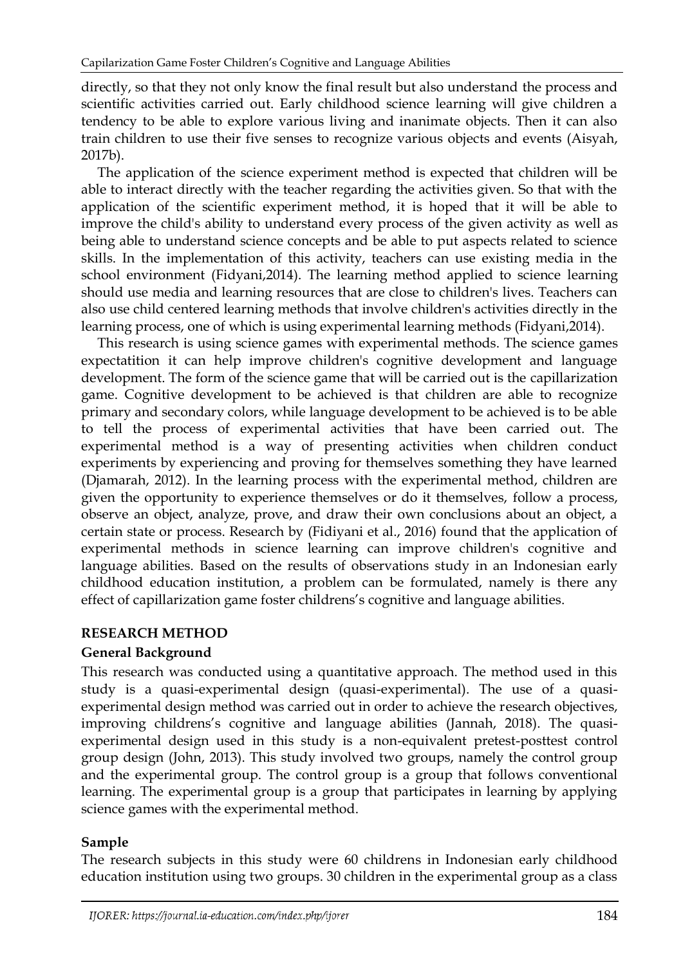directly, so that they not only know the final result but also understand the process and scientific activities carried out. Early childhood science learning will give children a tendency to be able to explore various living and inanimate objects. Then it can also train children to use their five senses to recognize various objects and events (Aisyah, 2017b).

The application of the science experiment method is expected that children will be able to interact directly with the teacher regarding the activities given. So that with the application of the scientific experiment method, it is hoped that it will be able to improve the child's ability to understand every process of the given activity as well as being able to understand science concepts and be able to put aspects related to science skills. In the implementation of this activity, teachers can use existing media in the school environment (Fidyani,2014). The learning method applied to science learning should use media and learning resources that are close to children's lives. Teachers can also use child centered learning methods that involve children's activities directly in the learning process, one of which is using experimental learning methods (Fidyani,2014).

This research is using science games with experimental methods. The science games expectatition it can help improve children's cognitive development and language development. The form of the science game that will be carried out is the capillarization game. Cognitive development to be achieved is that children are able to recognize primary and secondary colors, while language development to be achieved is to be able to tell the process of experimental activities that have been carried out. The experimental method is a way of presenting activities when children conduct experiments by experiencing and proving for themselves something they have learned (Djamarah, 2012). In the learning process with the experimental method, children are given the opportunity to experience themselves or do it themselves, follow a process, observe an object, analyze, prove, and draw their own conclusions about an object, a certain state or process. Research by (Fidiyani et al., 2016) found that the application of experimental methods in science learning can improve children's cognitive and language abilities. Based on the results of observations study in an Indonesian early childhood education institution, a problem can be formulated, namely is there any effect of capillarization game foster childrens's cognitive and language abilities.

# **RESEARCH METHOD**

# **General Background**

This research was conducted using a quantitative approach. The method used in this study is a quasi-experimental design (quasi-experimental). The use of a quasiexperimental design method was carried out in order to achieve the research objectives, improving childrens's cognitive and language abilities (Jannah, 2018). The quasiexperimental design used in this study is a non-equivalent pretest-posttest control group design (John, 2013). This study involved two groups, namely the control group and the experimental group. The control group is a group that follows conventional learning. The experimental group is a group that participates in learning by applying science games with the experimental method.

# **Sample**

The research subjects in this study were 60 childrens in Indonesian early childhood education institution using two groups. 30 children in the experimental group as a class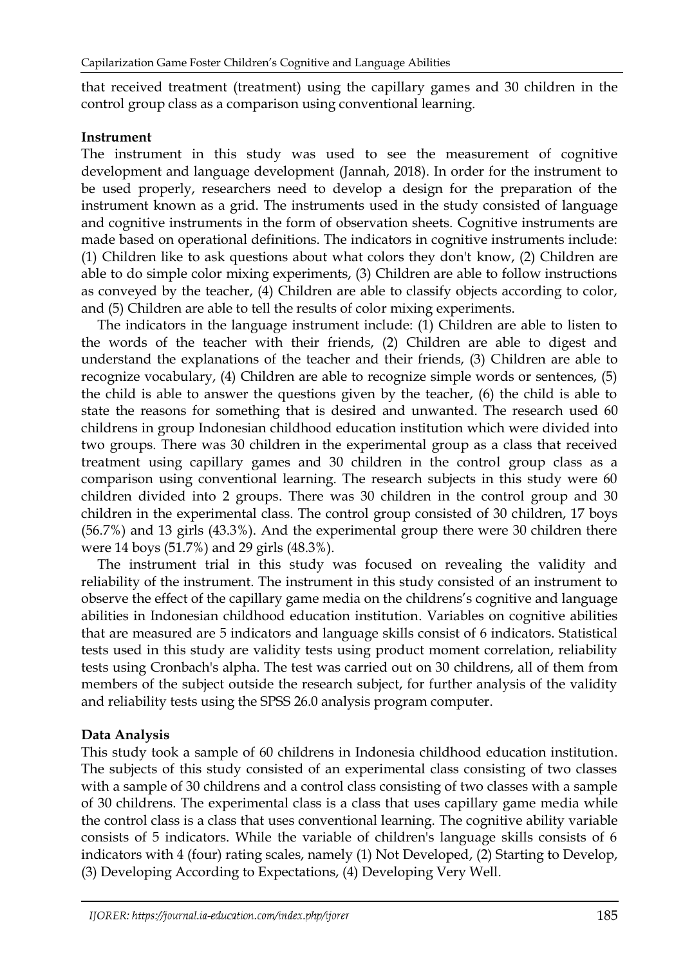that received treatment (treatment) using the capillary games and 30 children in the control group class as a comparison using conventional learning.

# **Instrument**

The instrument in this study was used to see the measurement of cognitive development and language development (Jannah, 2018). In order for the instrument to be used properly, researchers need to develop a design for the preparation of the instrument known as a grid. The instruments used in the study consisted of language and cognitive instruments in the form of observation sheets. Cognitive instruments are made based on operational definitions. The indicators in cognitive instruments include: (1) Children like to ask questions about what colors they don't know, (2) Children are able to do simple color mixing experiments, (3) Children are able to follow instructions as conveyed by the teacher, (4) Children are able to classify objects according to color, and (5) Children are able to tell the results of color mixing experiments.

The indicators in the language instrument include: (1) Children are able to listen to the words of the teacher with their friends, (2) Children are able to digest and understand the explanations of the teacher and their friends, (3) Children are able to recognize vocabulary, (4) Children are able to recognize simple words or sentences, (5) the child is able to answer the questions given by the teacher, (6) the child is able to state the reasons for something that is desired and unwanted. The research used 60 childrens in group Indonesian childhood education institution which were divided into two groups. There was 30 children in the experimental group as a class that received treatment using capillary games and 30 children in the control group class as a comparison using conventional learning. The research subjects in this study were 60 children divided into 2 groups. There was 30 children in the control group and 30 children in the experimental class. The control group consisted of 30 children, 17 boys (56.7%) and 13 girls (43.3%). And the experimental group there were 30 children there were 14 boys (51.7%) and 29 girls (48.3%).

The instrument trial in this study was focused on revealing the validity and reliability of the instrument. The instrument in this study consisted of an instrument to observe the effect of the capillary game media on the childrens's cognitive and language abilities in Indonesian childhood education institution. Variables on cognitive abilities that are measured are 5 indicators and language skills consist of 6 indicators. Statistical tests used in this study are validity tests using product moment correlation, reliability tests using Cronbach's alpha. The test was carried out on 30 childrens, all of them from members of the subject outside the research subject, for further analysis of the validity and reliability tests using the SPSS 26.0 analysis program computer.

# **Data Analysis**

This study took a sample of 60 childrens in Indonesia childhood education institution. The subjects of this study consisted of an experimental class consisting of two classes with a sample of 30 childrens and a control class consisting of two classes with a sample of 30 childrens. The experimental class is a class that uses capillary game media while the control class is a class that uses conventional learning. The cognitive ability variable consists of 5 indicators. While the variable of children's language skills consists of 6 indicators with 4 (four) rating scales, namely (1) Not Developed, (2) Starting to Develop, (3) Developing According to Expectations, (4) Developing Very Well.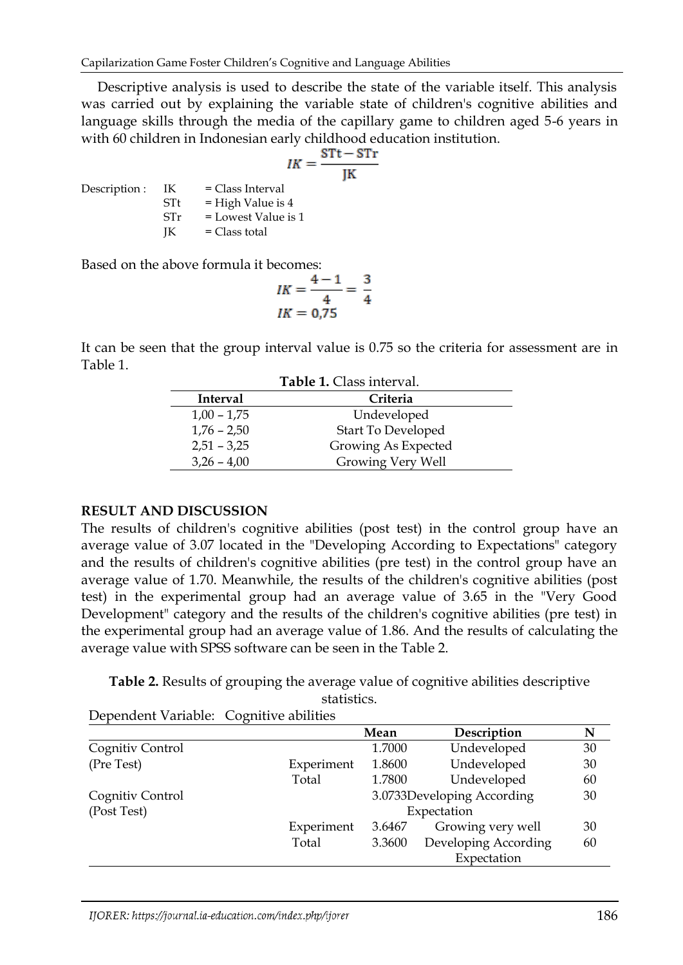Descriptive analysis is used to describe the state of the variable itself. This analysis was carried out by explaining the variable state of children's cognitive abilities and language skills through the media of the capillary game to children aged 5-6 years in with 60 children in Indonesian early childhood education institution.

$$
lK = \frac{STt - ST}{JK}
$$

 $Description: IK = Class Interval$  $STt = High Value is 4$  $STr = Lowest Value is 1$  $IK = Class total$ 

Based on the above formula it becomes:

$$
IK = \frac{4-1}{4} = \frac{3}{4}
$$
  

$$
IK = 0.75
$$

It can be seen that the group interval value is 0.75 so the criteria for assessment are in Table 1.

| <b>Table 1.</b> Class interval. |                           |  |  |  |  |
|---------------------------------|---------------------------|--|--|--|--|
| Interval                        | Criteria                  |  |  |  |  |
| $1,00 - 1,75$                   | Undeveloped               |  |  |  |  |
| $1,76 - 2,50$                   | <b>Start To Developed</b> |  |  |  |  |
| $2,51 - 3,25$                   | Growing As Expected       |  |  |  |  |
| $3,26 - 4,00$                   | Growing Very Well         |  |  |  |  |

## **RESULT AND DISCUSSION**

The results of children's cognitive abilities (post test) in the control group have an average value of 3.07 located in the "Developing According to Expectations" category and the results of children's cognitive abilities (pre test) in the control group have an average value of 1.70. Meanwhile, the results of the children's cognitive abilities (post test) in the experimental group had an average value of 3.65 in the "Very Good Development" category and the results of the children's cognitive abilities (pre test) in the experimental group had an average value of 1.86. And the results of calculating the average value with SPSS software can be seen in the Table 2.

**Table 2.** Results of grouping the average value of cognitive abilities descriptive statistics.

Dependent Variable: Cognitive abilities

|                  |            | Mean        | Description                | N  |
|------------------|------------|-------------|----------------------------|----|
| Cognitiv Control |            | 1.7000      | Undeveloped                | 30 |
| (Pre Test)       | Experiment | 1.8600      | Undeveloped                | 30 |
|                  | Total      | 1.7800      | Undeveloped                | 60 |
| Cognitiv Control |            |             | 3.0733Developing According | 30 |
| (Post Test)      |            | Expectation |                            |    |
|                  | Experiment | 3.6467      | Growing very well          | 30 |
|                  | Total      | 3.3600      | Developing According       | 60 |
|                  |            |             | Expectation                |    |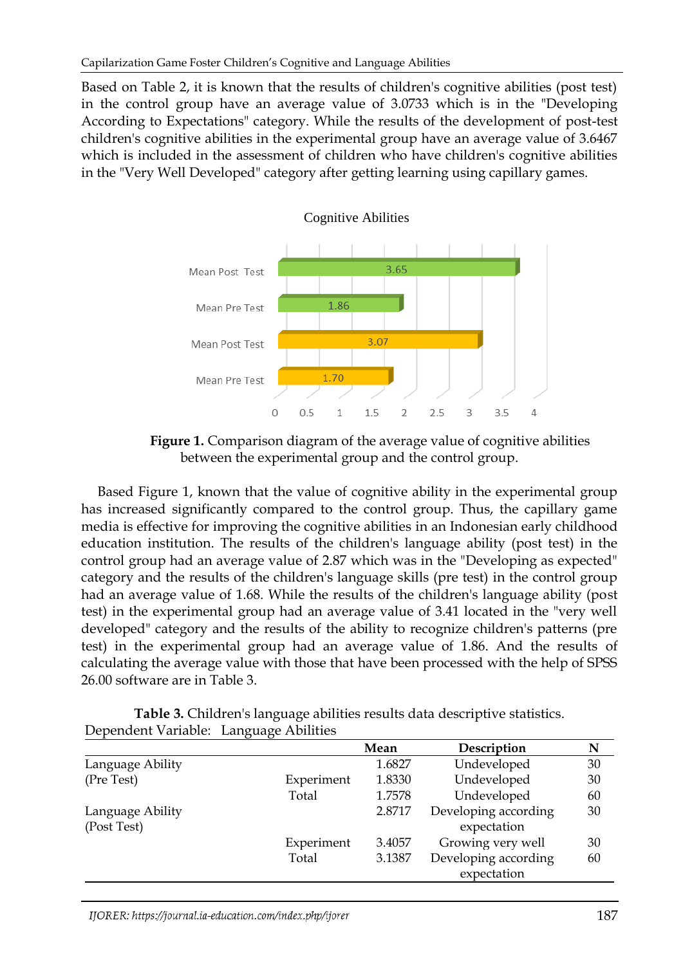Based on Table 2, it is known that the results of children's cognitive abilities (post test) in the control group have an average value of 3.0733 which is in the "Developing According to Expectations" category. While the results of the development of post-test children's cognitive abilities in the experimental group have an average value of 3.6467 which is included in the assessment of children who have children's cognitive abilities in the "Very Well Developed" category after getting learning using capillary games.



**Figure 1.** Comparison diagram of the average value of cognitive abilities between the experimental group and the control group.

Based Figure 1, known that the value of cognitive ability in the experimental group has increased significantly compared to the control group. Thus, the capillary game media is effective for improving the cognitive abilities in an Indonesian early childhood education institution. The results of the children's language ability (post test) in the control group had an average value of 2.87 which was in the "Developing as expected" category and the results of the children's language skills (pre test) in the control group had an average value of 1.68. While the results of the children's language ability (post test) in the experimental group had an average value of 3.41 located in the "very well developed" category and the results of the ability to recognize children's patterns (pre test) in the experimental group had an average value of 1.86. And the results of calculating the average value with those that have been processed with the help of SPSS 26.00 software are in Table 3.

**Table 3.** Children's language abilities results data descriptive statistics. Dependent Variable: Language Abilities

|                  |            | Mean   | Description          | N  |
|------------------|------------|--------|----------------------|----|
| Language Ability |            | 1.6827 | Undeveloped          | 30 |
| (Pre Test)       | Experiment | 1.8330 | Undeveloped          | 30 |
|                  | Total      | 1.7578 | Undeveloped          | 60 |
| Language Ability |            | 2.8717 | Developing according | 30 |
| (Post Test)      |            |        | expectation          |    |
|                  | Experiment | 3.4057 | Growing very well    | 30 |
|                  | Total      | 3.1387 | Developing according | 60 |
|                  |            |        | expectation          |    |
|                  |            |        |                      |    |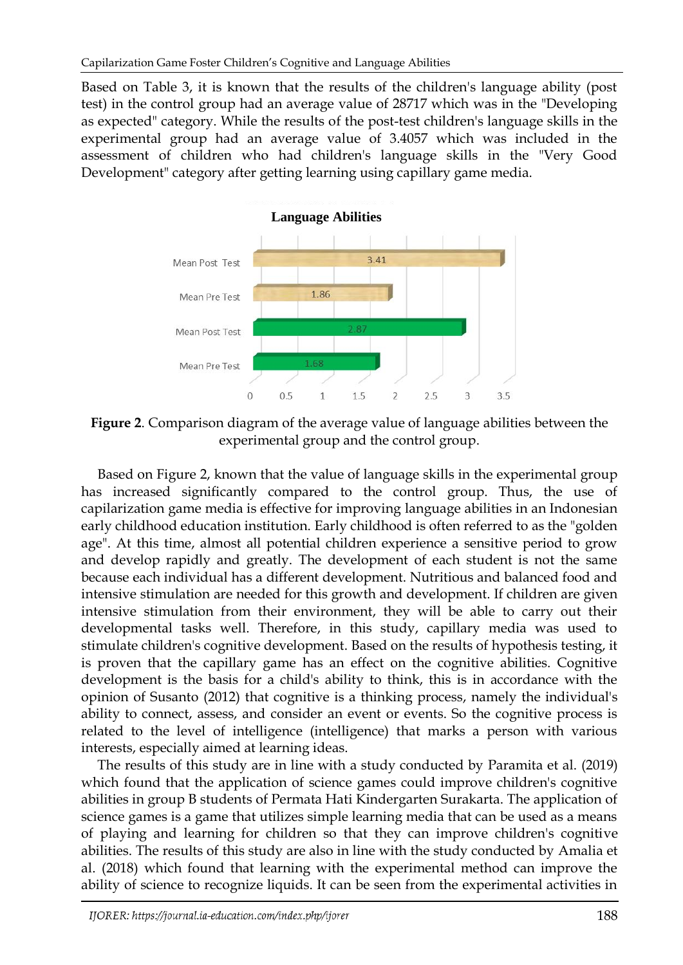Based on Table 3, it is known that the results of the children's language ability (post test) in the control group had an average value of 28717 which was in the "Developing as expected" category. While the results of the post-test children's language skills in the experimental group had an average value of 3.4057 which was included in the assessment of children who had children's language skills in the "Very Good Development" category after getting learning using capillary game media.



**Figure 2**. Comparison diagram of the average value of language abilities between the experimental group and the control group.

Based on Figure 2, known that the value of language skills in the experimental group has increased significantly compared to the control group. Thus, the use of capilarization game media is effective for improving language abilities in an Indonesian early childhood education institution. Early childhood is often referred to as the "golden age". At this time, almost all potential children experience a sensitive period to grow and develop rapidly and greatly. The development of each student is not the same because each individual has a different development. Nutritious and balanced food and intensive stimulation are needed for this growth and development. If children are given intensive stimulation from their environment, they will be able to carry out their developmental tasks well. Therefore, in this study, capillary media was used to stimulate children's cognitive development. Based on the results of hypothesis testing, it is proven that the capillary game has an effect on the cognitive abilities. Cognitive development is the basis for a child's ability to think, this is in accordance with the opinion of Susanto (2012) that cognitive is a thinking process, namely the individual's ability to connect, assess, and consider an event or events. So the cognitive process is related to the level of intelligence (intelligence) that marks a person with various interests, especially aimed at learning ideas.

The results of this study are in line with a study conducted by Paramita et al. (2019) which found that the application of science games could improve children's cognitive abilities in group B students of Permata Hati Kindergarten Surakarta. The application of science games is a game that utilizes simple learning media that can be used as a means of playing and learning for children so that they can improve children's cognitive abilities. The results of this study are also in line with the study conducted by Amalia et al. (2018) which found that learning with the experimental method can improve the ability of science to recognize liquids. It can be seen from the experimental activities in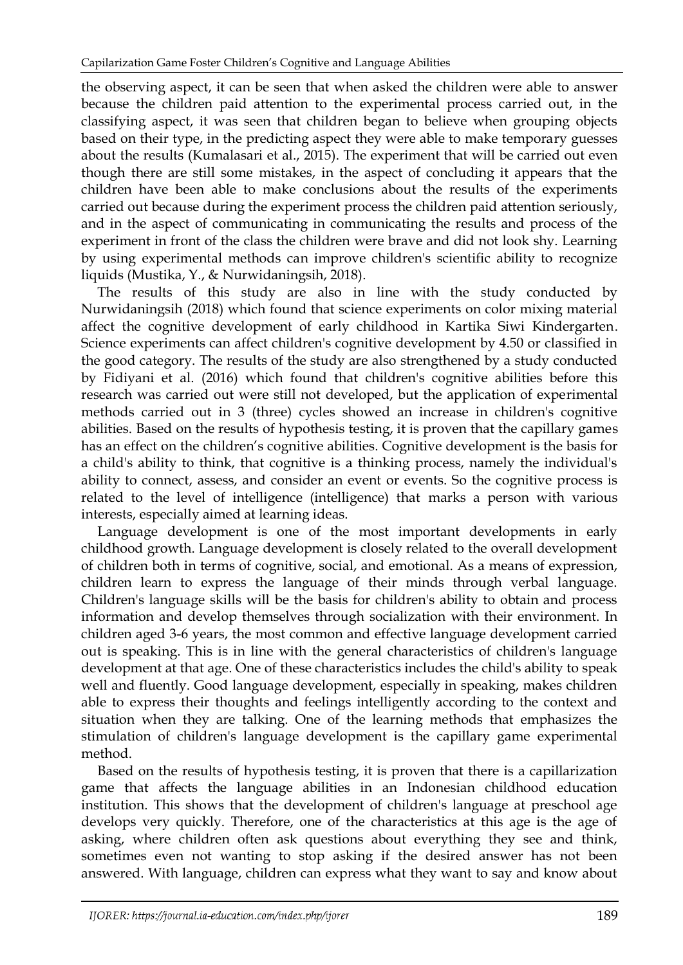the observing aspect, it can be seen that when asked the children were able to answer because the children paid attention to the experimental process carried out, in the classifying aspect, it was seen that children began to believe when grouping objects based on their type, in the predicting aspect they were able to make temporary guesses about the results (Kumalasari et al., 2015). The experiment that will be carried out even though there are still some mistakes, in the aspect of concluding it appears that the children have been able to make conclusions about the results of the experiments carried out because during the experiment process the children paid attention seriously, and in the aspect of communicating in communicating the results and process of the experiment in front of the class the children were brave and did not look shy. Learning by using experimental methods can improve children's scientific ability to recognize liquids (Mustika, Y., & Nurwidaningsih, 2018).

The results of this study are also in line with the study conducted by Nurwidaningsih (2018) which found that science experiments on color mixing material affect the cognitive development of early childhood in Kartika Siwi Kindergarten. Science experiments can affect children's cognitive development by 4.50 or classified in the good category. The results of the study are also strengthened by a study conducted by Fidiyani et al. (2016) which found that children's cognitive abilities before this research was carried out were still not developed, but the application of experimental methods carried out in 3 (three) cycles showed an increase in children's cognitive abilities. Based on the results of hypothesis testing, it is proven that the capillary games has an effect on the children's cognitive abilities. Cognitive development is the basis for a child's ability to think, that cognitive is a thinking process, namely the individual's ability to connect, assess, and consider an event or events. So the cognitive process is related to the level of intelligence (intelligence) that marks a person with various interests, especially aimed at learning ideas.

Language development is one of the most important developments in early childhood growth. Language development is closely related to the overall development of children both in terms of cognitive, social, and emotional. As a means of expression, children learn to express the language of their minds through verbal language. Children's language skills will be the basis for children's ability to obtain and process information and develop themselves through socialization with their environment. In children aged 3-6 years, the most common and effective language development carried out is speaking. This is in line with the general characteristics of children's language development at that age. One of these characteristics includes the child's ability to speak well and fluently. Good language development, especially in speaking, makes children able to express their thoughts and feelings intelligently according to the context and situation when they are talking. One of the learning methods that emphasizes the stimulation of children's language development is the capillary game experimental method.

Based on the results of hypothesis testing, it is proven that there is a capillarization game that affects the language abilities in an Indonesian childhood education institution. This shows that the development of children's language at preschool age develops very quickly. Therefore, one of the characteristics at this age is the age of asking, where children often ask questions about everything they see and think, sometimes even not wanting to stop asking if the desired answer has not been answered. With language, children can express what they want to say and know about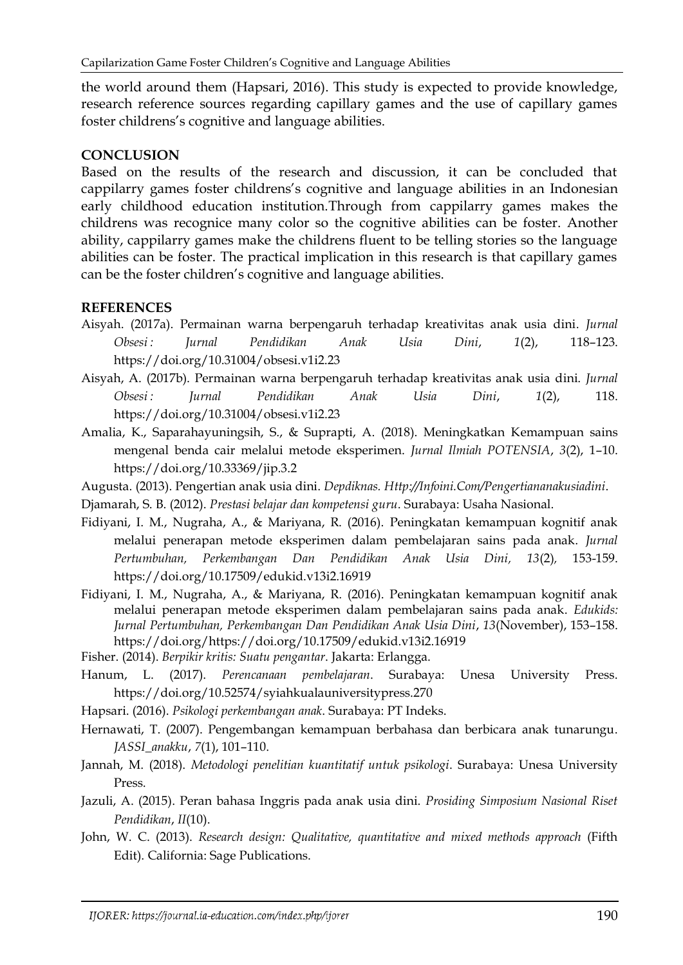the world around them (Hapsari, 2016). This study is expected to provide knowledge, research reference sources regarding capillary games and the use of capillary games foster childrens's cognitive and language abilities.

## **CONCLUSION**

Based on the results of the research and discussion, it can be concluded that cappilarry games foster childrens's cognitive and language abilities in an Indonesian early childhood education institution.Through from cappilarry games makes the childrens was recognice many color so the cognitive abilities can be foster. Another ability, cappilarry games make the childrens fluent to be telling stories so the language abilities can be foster. The practical implication in this research is that capillary games can be the foster children's cognitive and language abilities.

# **REFERENCES**

- Aisyah. (2017a). Permainan warna berpengaruh terhadap kreativitas anak usia dini. *Jurnal Obsesi : Jurnal Pendidikan Anak Usia Dini*, *1*(2), 118–123. https://doi.org/10.31004/obsesi.v1i2.23
- Aisyah, A. (2017b). Permainan warna berpengaruh terhadap kreativitas anak usia dini. *Jurnal Obsesi : Jurnal Pendidikan Anak Usia Dini*, *1*(2), 118. https://doi.org/10.31004/obsesi.v1i2.23
- Amalia, K., Saparahayuningsih, S., & Suprapti, A. (2018). Meningkatkan Kemampuan sains mengenal benda cair melalui metode eksperimen. *Jurnal Ilmiah POTENSIA*, *3*(2), 1–10. https://doi.org/10.33369/jip.3.2
- Augusta. (2013). Pengertian anak usia dini. *Depdiknas. Http://Infoini.Com/Pengertiananakusiadini*.

Djamarah, S. B. (2012). *Prestasi belajar dan kompetensi guru*. Surabaya: Usaha Nasional.

- Fidiyani, I. M., Nugraha, A., & Mariyana, R. (2016). Peningkatan kemampuan kognitif anak melalui penerapan metode eksperimen dalam pembelajaran sains pada anak. *Jurnal Pertumbuhan, Perkembangan Dan Pendidikan Anak Usia Dini, 13*(2)*,* 153-159. <https://doi.org/10.17509/edukid.v13i2.16919>
- Fidiyani, I. M., Nugraha, A., & Mariyana, R. (2016). Peningkatan kemampuan kognitif anak melalui penerapan metode eksperimen dalam pembelajaran sains pada anak. *Edukids: Jurnal Pertumbuhan, Perkembangan Dan Pendidikan Anak Usia Dini*, *13*(November), 153–158. https://doi.org/https://doi.org/10.17509/edukid.v13i2.16919
- Fisher. (2014). *Berpikir kritis: Suatu pengantar*. Jakarta: Erlangga.
- Hanum, L. (2017). *Perencanaan pembelajaran*. Surabaya: Unesa University Press. https://doi.org/10.52574/syiahkualauniversitypress.270
- Hapsari. (2016). *Psikologi perkembangan anak*. Surabaya: PT Indeks.
- Hernawati, T. (2007). Pengembangan kemampuan berbahasa dan berbicara anak tunarungu. *JASSI\_anakku*, *7*(1), 101–110.
- Jannah, M. (2018). *Metodologi penelitian kuantitatif untuk psikologi*. Surabaya: Unesa University Press.
- Jazuli, A. (2015). Peran bahasa Inggris pada anak usia dini. *Prosiding Simposium Nasional Riset Pendidikan*, *II*(10).
- John, W. C. (2013). *Research design: Qualitative, quantitative and mixed methods approach* (Fifth Edit). California: Sage Publications.